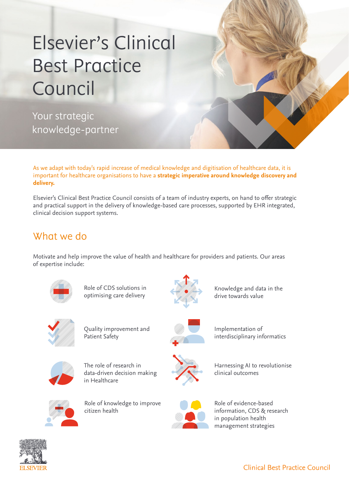# Elsevier's Clinical Best Practice Council

Your strategic knowledge-partner

As we adapt with today's rapid increase of medical knowledge and digitisation of healthcare data, it is important for healthcare organisations to have a **strategic imperative around knowledge discovery and delivery.**

Elsevier's Clinical Best Practice Council consists of a team of industry experts, on hand to offer strategic and practical support in the delivery of knowledge-based care processes, supported by EHR integrated, clinical decision support systems.

## What we do

Motivate and help improve the value of health and healthcare for providers and patients. Our areas of expertise include:



Role of CDS solutions in optimising care delivery



Knowledge and data in the drive towards value



Quality improvement and Patient Safety



Implementation of interdisciplinary informatics



The role of research in data-driven decision making in Healthcare



Role of knowledge to improve citizen health



Harnessing AI to revolutionise clinical outcomes



Role of evidence-based information, CDS & research in population health management strategies